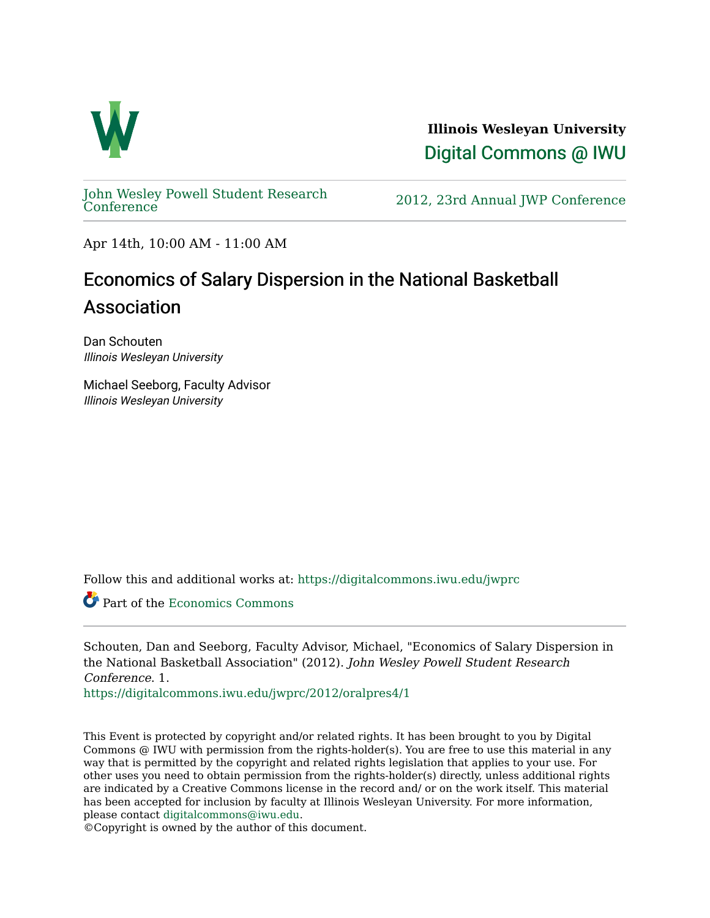

**Illinois Wesleyan University**  [Digital Commons @ IWU](https://digitalcommons.iwu.edu/) 

[John Wesley Powell Student Research](https://digitalcommons.iwu.edu/jwprc) 

2012, 23rd Annual JWP [Conference](https://digitalcommons.iwu.edu/jwprc)

Apr 14th, 10:00 AM - 11:00 AM

## Economics of Salary Dispersion in the National Basketball Association

Dan Schouten Illinois Wesleyan University

Michael Seeborg, Faculty Advisor Illinois Wesleyan University

Follow this and additional works at: [https://digitalcommons.iwu.edu/jwprc](https://digitalcommons.iwu.edu/jwprc?utm_source=digitalcommons.iwu.edu%2Fjwprc%2F2012%2Foralpres4%2F1&utm_medium=PDF&utm_campaign=PDFCoverPages) 

Part of the [Economics Commons](http://network.bepress.com/hgg/discipline/340?utm_source=digitalcommons.iwu.edu%2Fjwprc%2F2012%2Foralpres4%2F1&utm_medium=PDF&utm_campaign=PDFCoverPages) 

Schouten, Dan and Seeborg, Faculty Advisor, Michael, "Economics of Salary Dispersion in the National Basketball Association" (2012). John Wesley Powell Student Research Conference. 1.

[https://digitalcommons.iwu.edu/jwprc/2012/oralpres4/1](https://digitalcommons.iwu.edu/jwprc/2012/oralpres4/1?utm_source=digitalcommons.iwu.edu%2Fjwprc%2F2012%2Foralpres4%2F1&utm_medium=PDF&utm_campaign=PDFCoverPages)

This Event is protected by copyright and/or related rights. It has been brought to you by Digital Commons @ IWU with permission from the rights-holder(s). You are free to use this material in any way that is permitted by the copyright and related rights legislation that applies to your use. For other uses you need to obtain permission from the rights-holder(s) directly, unless additional rights are indicated by a Creative Commons license in the record and/ or on the work itself. This material has been accepted for inclusion by faculty at Illinois Wesleyan University. For more information, please contact [digitalcommons@iwu.edu.](mailto:digitalcommons@iwu.edu)

©Copyright is owned by the author of this document.